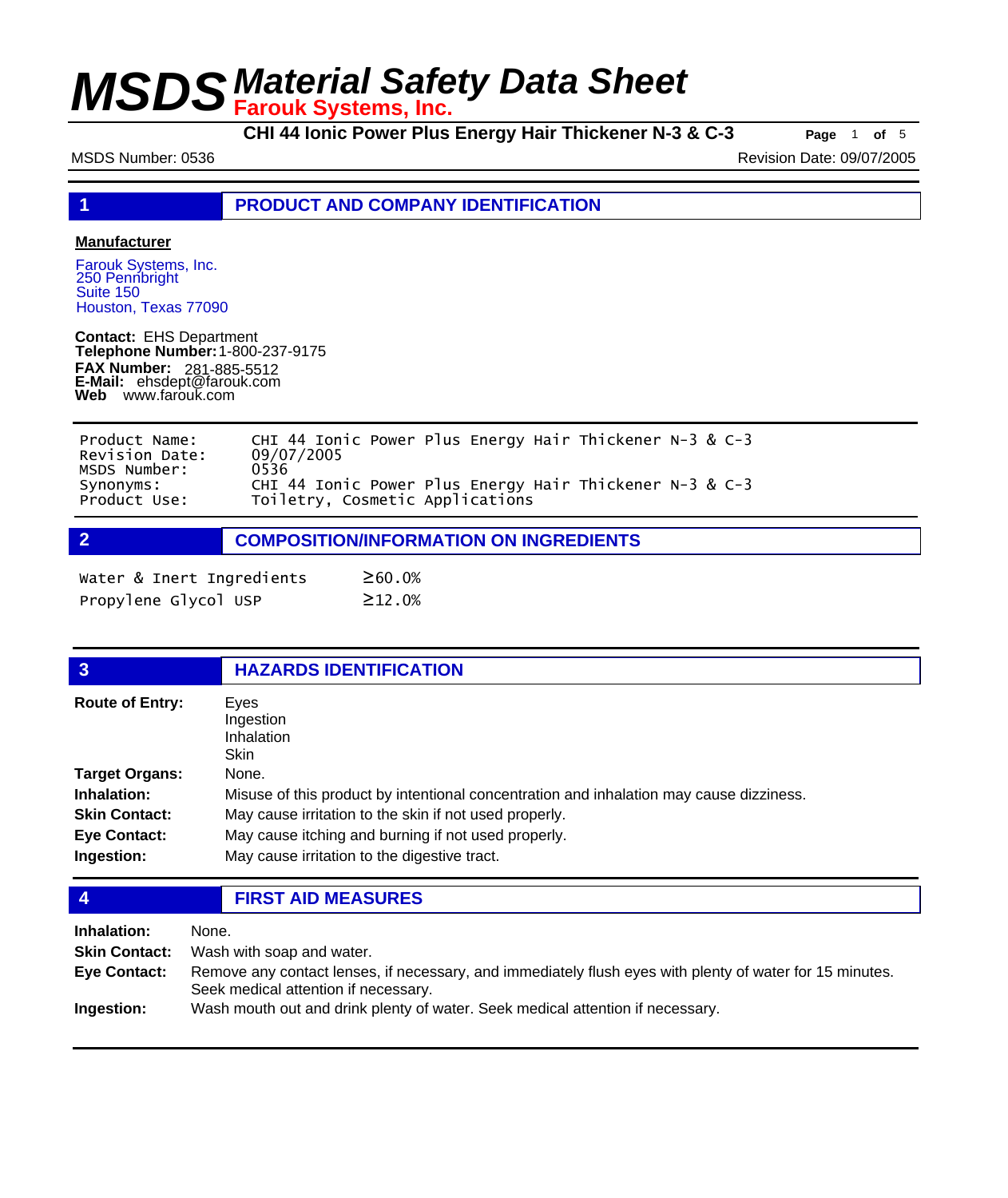**CHI 44 Ionic Power Plus Energy Hair Thickener N-3 & C-3 Page** <sup>1</sup> **of** <sup>5</sup>

MSDS Number: 0536 Revision Date: 09/07/2005

**1 PRODUCT AND COMPANY IDENTIFICATION**

#### **Manufacturer**

Farouk Systems, Inc. 250 Pennbright Suite 150 Houston, Texas 77090

**Contact:** EHS Department **Telephone Number:** 1-800-237-9175 **FAX Number: FAX Number:** 281-885-5512<br>**E-Mail:** ehsdept@farouk.com **Web** www.farouk.com

| Product Name:<br>Revision Date:           | CHI 44 Ionic Power Plus Energy Hair Thickener $N-3$ & C-3<br>09/07/2005                            |  |  |
|-------------------------------------------|----------------------------------------------------------------------------------------------------|--|--|
| MSDS Number:<br>Synonyms:<br>Product Use: | 0536<br>CHI 44 Ionic Power Plus Energy Hair Thickener N-3 & C-3<br>Toiletry, Cosmetic Applications |  |  |

**2 COMPOSITION/INFORMATION ON INGREDIENTS**

| Water & Inert Ingredients | ≥60.0%       |
|---------------------------|--------------|
| Propylene Glycol USP      | $\geq$ 12.0% |

| <b>HAZARDS IDENTIFICATION</b>                                                           |
|-----------------------------------------------------------------------------------------|
| Eyes<br>Ingestion<br><b>Inhalation</b><br><b>Skin</b>                                   |
| None.                                                                                   |
| Misuse of this product by intentional concentration and inhalation may cause dizziness. |
| May cause irritation to the skin if not used properly.                                  |
| May cause itching and burning if not used properly.                                     |
| May cause irritation to the digestive tract.                                            |
|                                                                                         |

**4 FIRST AID MEASURES**

| Inhalation:          | None.                                                                                                                                            |
|----------------------|--------------------------------------------------------------------------------------------------------------------------------------------------|
| <b>Skin Contact:</b> | Wash with soap and water.                                                                                                                        |
| <b>Eve Contact:</b>  | Remove any contact lenses, if necessary, and immediately flush eyes with plenty of water for 15 minutes.<br>Seek medical attention if necessary. |
| Ingestion:           | Wash mouth out and drink plenty of water. Seek medical attention if necessary.                                                                   |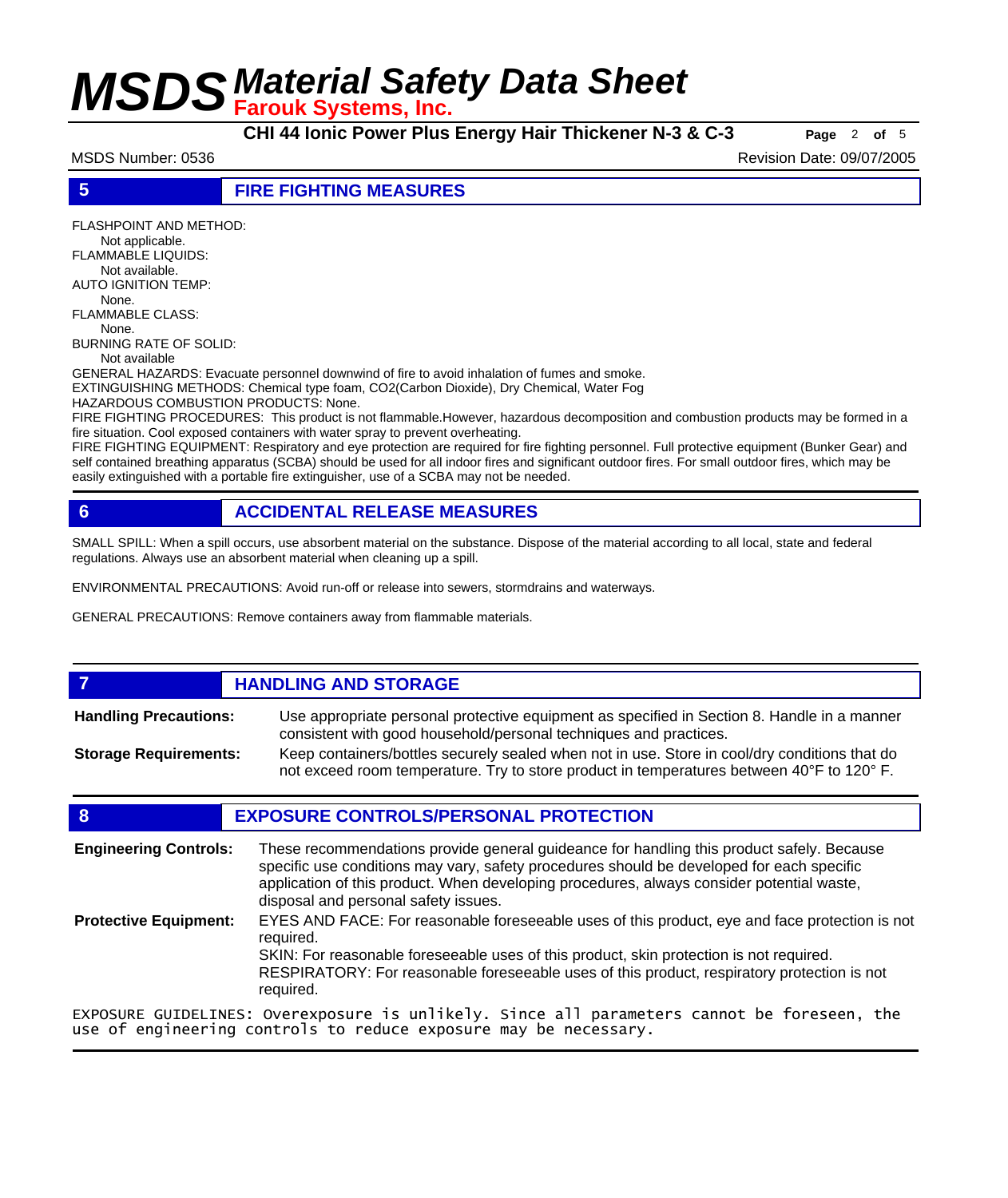**CHI 44 Ionic Power Plus Energy Hair Thickener N-3 & C-3 Page** <sup>2</sup> **of** <sup>5</sup>

MSDS Number: 0536 Revision Date: 09/07/2005

**5 FIRE FIGHTING MEASURES**

FLASHPOINT AND METHOD: Not applicable. FLAMMABLE LIQUIDS: Not available. AUTO IGNITION TEMP: None. FLAMMABLE CLASS:

 None. BURNING RATE OF SOLID:

Not available

GENERAL HAZARDS: Evacuate personnel downwind of fire to avoid inhalation of fumes and smoke. EXTINGUISHING METHODS: Chemical type foam, CO2(Carbon Dioxide), Dry Chemical, Water Fog

HAZARDOUS COMBUSTION PRODUCTS: None.

FIRE FIGHTING PROCEDURES: This product is not flammable.However, hazardous decomposition and combustion products may be formed in a fire situation. Cool exposed containers with water spray to prevent overheating.

FIRE FIGHTING EQUIPMENT: Respiratory and eye protection are required for fire fighting personnel. Full protective equipment (Bunker Gear) and self contained breathing apparatus (SCBA) should be used for all indoor fires and significant outdoor fires. For small outdoor fires, which may be easily extinguished with a portable fire extinguisher, use of a SCBA may not be needed.

### **6 ACCIDENTAL RELEASE MEASURES**

SMALL SPILL: When a spill occurs, use absorbent material on the substance. Dispose of the material according to all local, state and federal regulations. Always use an absorbent material when cleaning up a spill.

ENVIRONMENTAL PRECAUTIONS: Avoid run-off or release into sewers, stormdrains and waterways.

GENERAL PRECAUTIONS: Remove containers away from flammable materials.

#### **7 HANDLING AND STORAGE** Use appropriate personal protective equipment as specified in Section 8. Handle in a manner consistent with good household/personal techniques and practices. **Handling Precautions:** Keep containers/bottles securely sealed when not in use. Store in cool/dry conditions that do not exceed room temperature. Try to store product in temperatures between 40°F to 120° F. **Storage Requirements:**

### **8 EXPOSURE CONTROLS/PERSONAL PROTECTION**

These recommendations provide general guideance for handling this product safely. Because specific use conditions may vary, safety procedures should be developed for each specific application of this product. When developing procedures, always consider potential waste, disposal and personal safety issues. **Engineering Controls:** EYES AND FACE: For reasonable foreseeable uses of this product, eye and face protection is not required. SKIN: For reasonable foreseeable uses of this product, skin protection is not required. RESPIRATORY: For reasonable foreseeable uses of this product, respiratory protection is not required. **Protective Equipment:** EXPOSURE GUIDELINES: Overexposure is unlikely. Since all parameters cannot be foreseen, the use of engineering controls to reduce exposure may be necessary.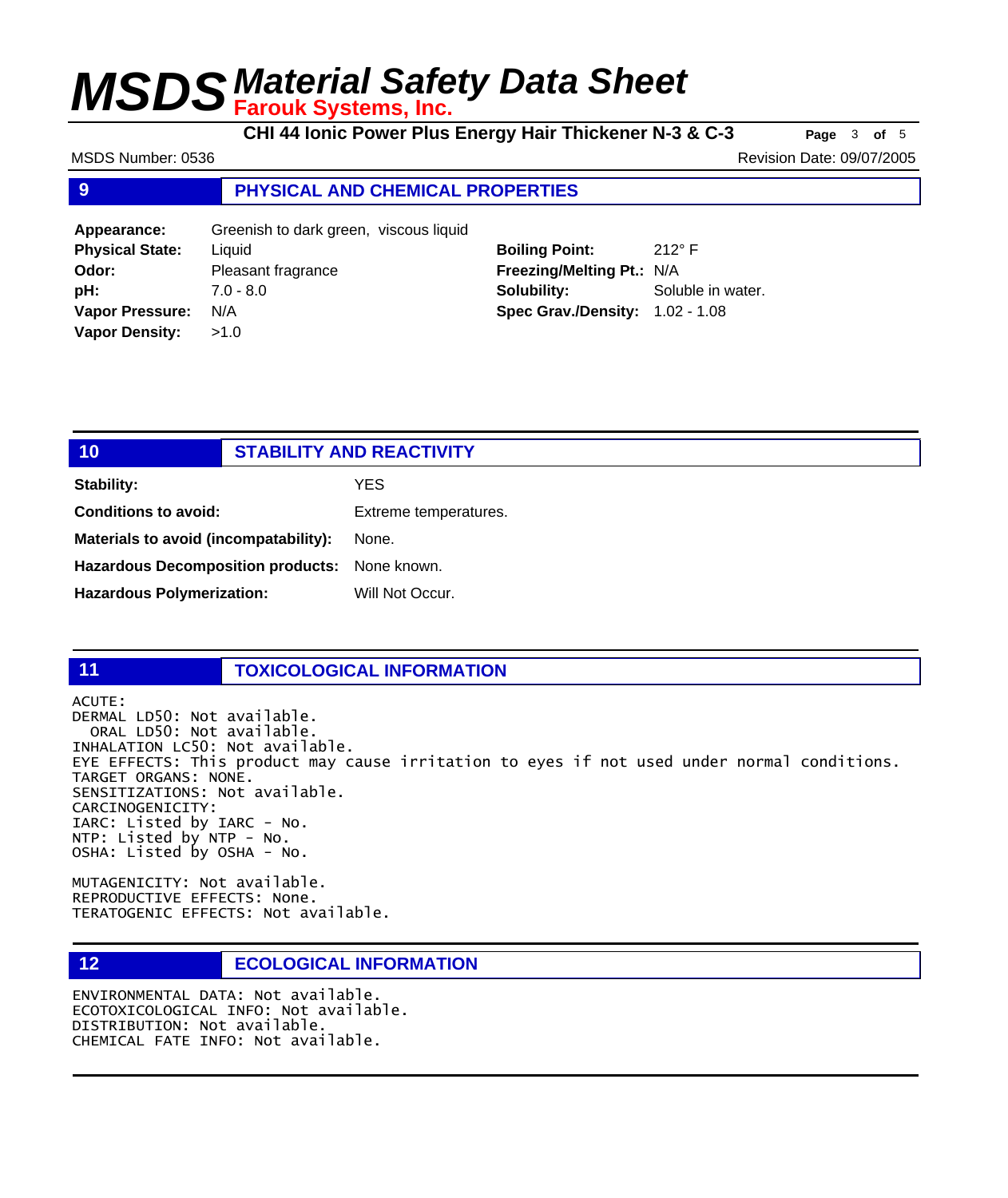**CHI 44 Ionic Power Plus Energy Hair Thickener N-3 & C-3 Page** <sup>3</sup> **of** <sup>5</sup>

MSDS Number: 0536 Revision Date: 09/07/2005

#### **9 PHYSICAL AND CHEMICAL PROPERTIES**

| Appearance:            | Greenish to dark green, viscous liquid |                                        |                   |
|------------------------|----------------------------------------|----------------------------------------|-------------------|
| <b>Physical State:</b> | Liauid                                 | <b>Boiling Point:</b>                  | 212 $\degree$ F   |
| Odor:                  | Pleasant fragrance                     | Freezing/Melting Pt.: N/A              |                   |
| pH:                    | $7.0 - 8.0$                            | Solubility:                            | Soluble in water. |
| <b>Vapor Pressure:</b> | N/A                                    | <b>Spec Grav./Density: 1.02 - 1.08</b> |                   |
| <b>Vapor Density:</b>  | >1.0                                   |                                        |                   |

| 10                                            | <b>STABILITY AND REACTIVITY</b> |  |
|-----------------------------------------------|---------------------------------|--|
| <b>Stability:</b>                             | <b>YES</b>                      |  |
| <b>Conditions to avoid:</b>                   | Extreme temperatures.           |  |
| Materials to avoid (incompatability):         | None.                           |  |
| Hazardous Decomposition products: None known. |                                 |  |
| <b>Hazardous Polymerization:</b>              | Will Not Occur.                 |  |

### **11 TOXICOLOGICAL INFORMATION**

ACUTE: DERMAL LD50: Not available. ORAL LD50: Not available. INHALATION LC50: Not available. EYE EFFECTS: This product may cause irritation to eyes if not used under normal conditions. TARGET ORGANS: NONE. SENSITIZATIONS: Not available. CARCINOGENICITY: IARC: Listed by IARC - No. NTP: Listed by NTP - No. OSHA: Listed by OSHA - No.

MUTAGENICITY: Not available. REPRODUCTIVE EFFECTS: None. TERATOGENIC EFFECTS: Not available.

#### **12 ECOLOGICAL INFORMATION**

ENVIRONMENTAL DATA: Not available. ECOTOXICOLOGICAL INFO: Not available. DISTRIBUTION: Not available. CHEMICAL FATE INFO: Not available.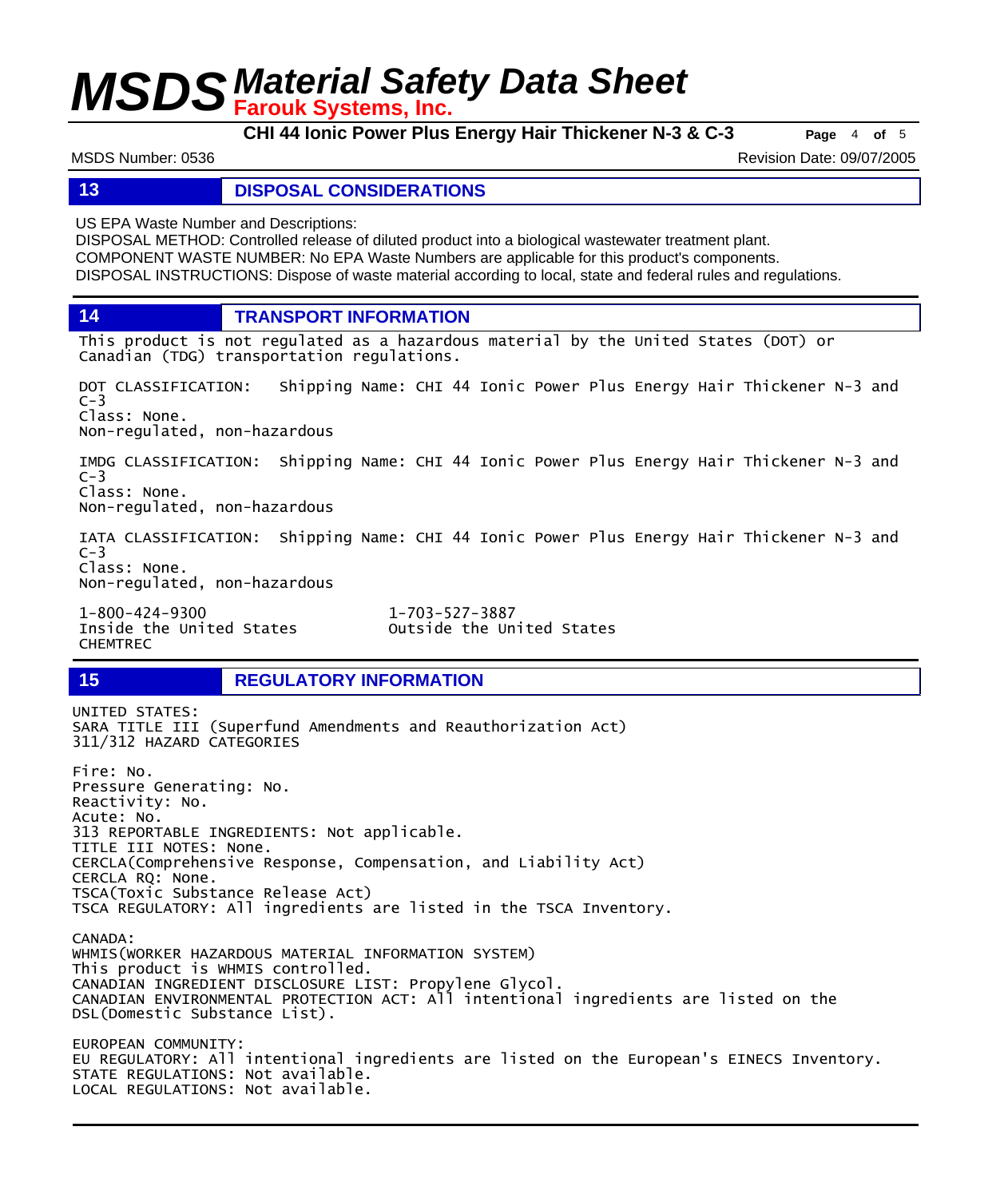**CHI 44 Ionic Power Plus Energy Hair Thickener N-3 & C-3 Page** <sup>4</sup> **of** <sup>5</sup>

MSDS Number: 0536 Revision Date: 09/07/2005

#### **13 DISPOSAL CONSIDERATIONS**

US EPA Waste Number and Descriptions:

DISPOSAL METHOD: Controlled release of diluted product into a biological wastewater treatment plant. COMPONENT WASTE NUMBER: No EPA Waste Numbers are applicable for this product's components. DISPOSAL INSTRUCTIONS: Dispose of waste material according to local, state and federal rules and regulations.

**14 TRANSPORT INFORMATION**

This product is not regulated as a hazardous material by the United States (DOT) or Canadian (TDG) transportation regulations.

DOT CLASSIFICATION: Shipping Name: CHI 44 Ionic Power Plus Energy Hair Thickener N-3 and  $C-3$ Class: None. Non-regulated, non-hazardous

IMDG CLASSIFICATION: Shipping Name: CHI 44 Ionic Power Plus Energy Hair Thickener N-3 and  $C-3$ Class: None. Non-regulated, non-hazardous

IATA CLASSIFICATION: Shipping Name: CHI 44 Ionic Power Plus Energy Hair Thickener N-3 and  $C-3$ Class: None. Non-regulated, non-hazardous

1-800-424-9300 1-703-527-3887 CHEMTREC

Outside the United States

UNITED STATES:

**15 REGULATORY INFORMATION**

SARA TITLE III (Superfund Amendments and Reauthorization Act) 311/312 HAZARD CATEGORIES Fire: No. Pressure Generating: No. Reactivity: No. Acute: No. 313 REPORTABLE INGREDIENTS: Not applicable. TITLE III NOTES: None. CERCLA(Comprehensive Response, Compensation, and Liability Act) CERCLA RQ: None. TSCA(Toxic Substance Release Act) TSCA REGULATORY: All ingredients are listed in the TSCA Inventory. CANADA: WHMIS(WORKER HAZARDOUS MATERIAL INFORMATION SYSTEM) This product is WHMIS controlled. CANADIAN INGREDIENT DISCLOSURE LIST: Propylene Glycol. CANADIAN ENVIRONMENTAL PROTECTION ACT: All intentional ingredients are listed on the DSL(Domestic Substance List). EUROPEAN COMMUNITY: EU REGULATORY: All intentional ingredients are listed on the European's EINECS Inventory. STATE REGULATIONS: Not available. LOCAL REGULATIONS: Not available.